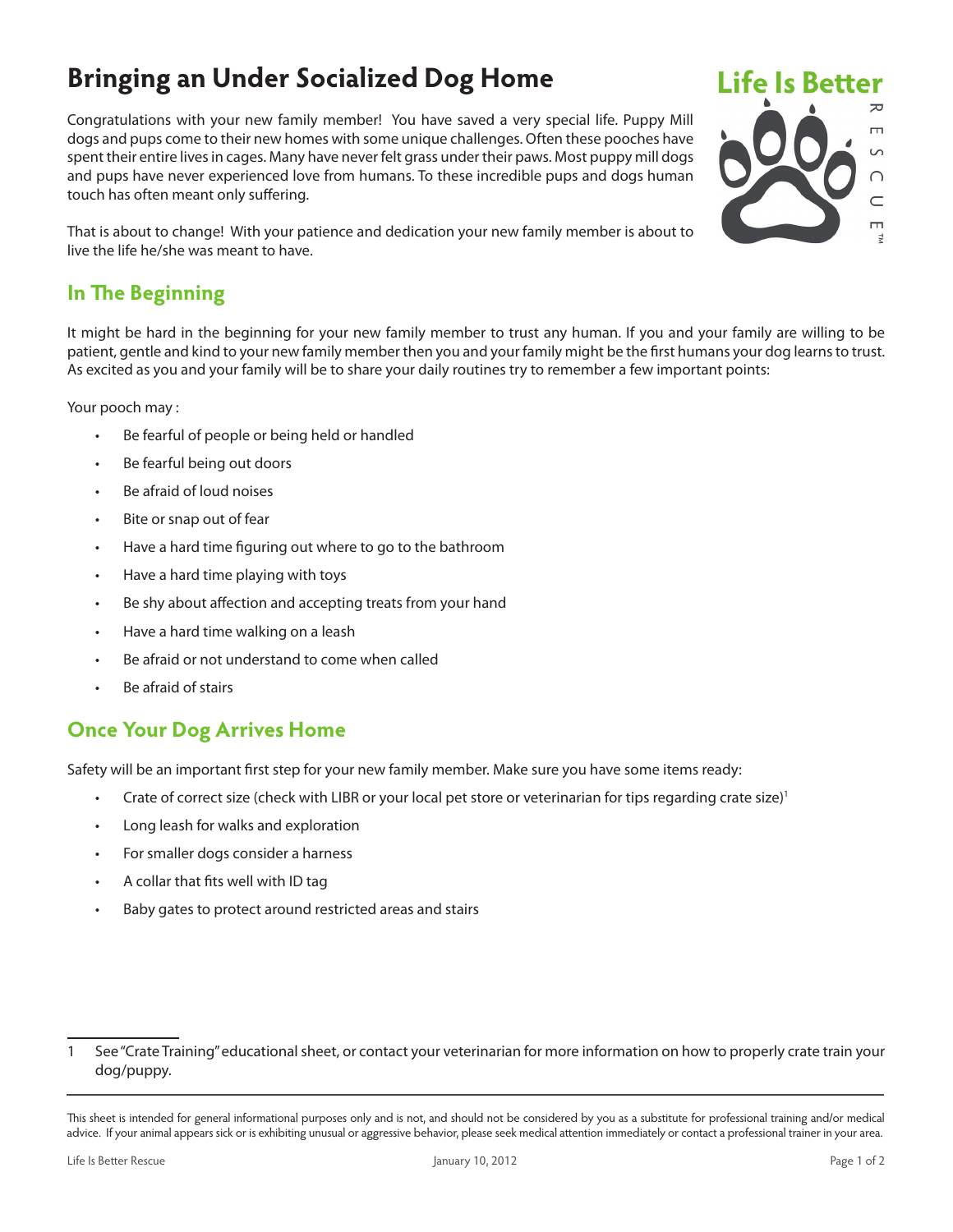# **Bringing an Under Socialized Dog Home**

Congratulations with your new family member! You have saved a very special life. Puppy Mill dogs and pups come to their new homes with some unique challenges. Often these pooches have spent their entire lives in cages. Many have never felt grass under their paws. Most puppy mill dogs and pups have never experienced love from humans. To these incredible pups and dogs human touch has often meant only suffering.

That is about to change! With your patience and dedication your new family member is about to live the life he/she was meant to have.

## **In The Beginning**

It might be hard in the beginning for your new family member to trust any human. If you and your family are willing to be patient, gentle and kind to your new family member then you and your family might be the first humans your dog learns to trust. As excited as you and your family will be to share your daily routines try to remember a few important points:

Your pooch may :

- Be fearful of people or being held or handled
- Be fearful being out doors
- Be afraid of loud noises
- Bite or snap out of fear
- Have a hard time figuring out where to go to the bathroom
- Have a hard time playing with toys
- Be shy about affection and accepting treats from your hand
- Have a hard time walking on a leash
- Be afraid or not understand to come when called
- Be afraid of stairs

#### **Once Your Dog Arrives Home**

Safety will be an important first step for your new family member. Make sure you have some items ready:

- Crate of correct size (check with LIBR or your local pet store or veterinarian for tips regarding crate size)<sup>1</sup>
- Long leash for walks and exploration
- For smaller dogs consider a harness
- A collar that fits well with ID tag
- Baby gates to protect around restricted areas and stairs



<sup>1</sup> See "Crate Training" educational sheet, or contact your veterinarian for more information on how to properly crate train your dog/puppy.

This sheet is intended for general informational purposes only and is not, and should not be considered by you as a substitute for professional training and/or medical advice. If your animal appears sick or is exhibiting unusual or aggressive behavior, please seek medical attention immediately or contact a professional trainer in your area.